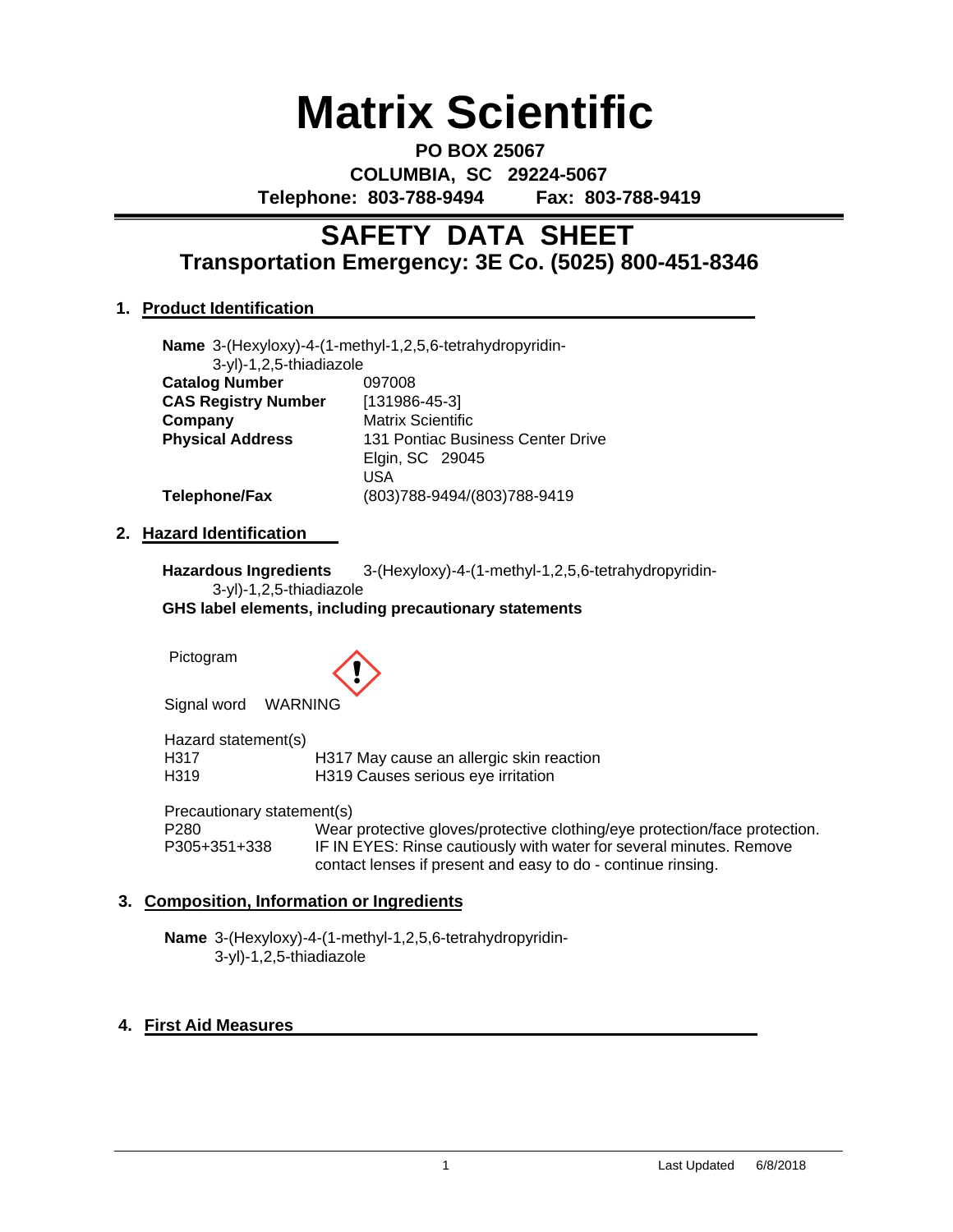# **Matrix Scientific**

**PO BOX 25067 COLUMBIA, SC 29224-5067 Telephone: 803-788-9494 Fax: 803-788-9419**

# **Transportation Emergency: 3E Co. (5025) 800-451-8346 SAFETY DATA SHEET**

# **1. Product Identification**

|                            | Name 3-(Hexyloxy)-4-(1-methyl-1,2,5,6-tetrahydropyridin- |
|----------------------------|----------------------------------------------------------|
| 3-yl)-1,2,5-thiadiazole    |                                                          |
| <b>Catalog Number</b>      | 097008                                                   |
| <b>CAS Registry Number</b> | $[131986-45-3]$                                          |
| Company                    | <b>Matrix Scientific</b>                                 |
| <b>Physical Address</b>    | 131 Pontiac Business Center Drive                        |
|                            | Elgin, SC 29045                                          |
|                            | USA                                                      |
| Telephone/Fax              | (803)788-9494/(803)788-9419                              |

### **2. Hazard Identification**

**Hazardous Ingredients** 3-(Hexyloxy)-4-(1-methyl-1,2,5,6-tetrahydropyridin-3-yl)-1,2,5-thiadiazole

**GHS label elements, including precautionary statements**

Pictogram



Signal word WARNING

Hazard statement(s)<br>H317 H317 H317 May cause an allergic skin reaction H319 H319 Causes serious eye irritation

Precautionary statement(s)<br>P280 Wear P280 Wear protective gloves/protective clothing/eye protection/face protection.<br>P305+351+338 IF IN EYES: Rinse cautiously with water for several minutes. Remove IF IN EYES: Rinse cautiously with water for several minutes. Remove contact lenses if present and easy to do - continue rinsing.

# **3. Composition, Information or Ingredients**

**Name** 3-(Hexyloxy)-4-(1-methyl-1,2,5,6-tetrahydropyridin-3-yl)-1,2,5-thiadiazole

# **4. First Aid Measures**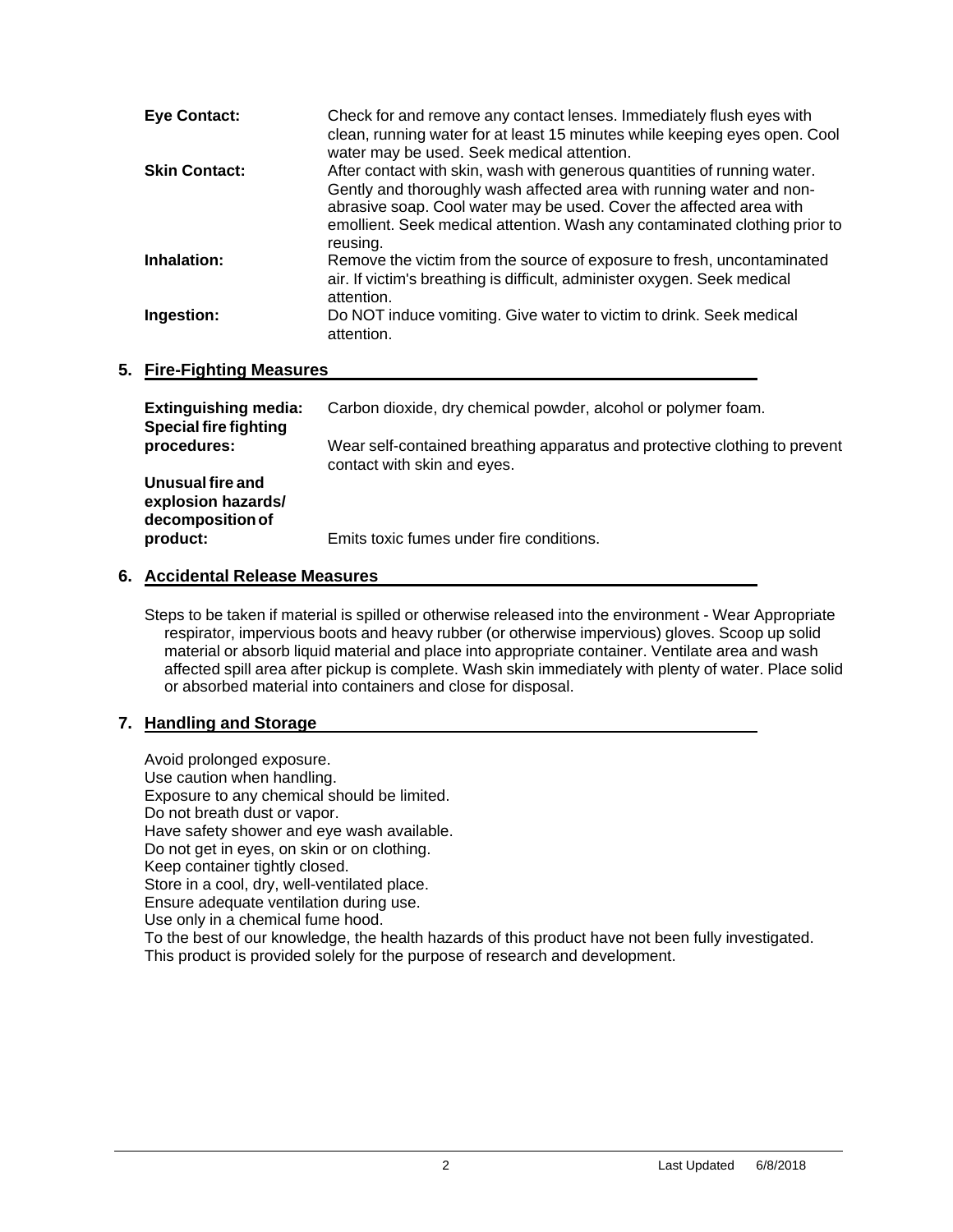| <b>Eye Contact:</b>  | Check for and remove any contact lenses. Immediately flush eyes with<br>clean, running water for at least 15 minutes while keeping eyes open. Cool<br>water may be used. Seek medical attention.                                                                                                                  |
|----------------------|-------------------------------------------------------------------------------------------------------------------------------------------------------------------------------------------------------------------------------------------------------------------------------------------------------------------|
| <b>Skin Contact:</b> | After contact with skin, wash with generous quantities of running water.<br>Gently and thoroughly wash affected area with running water and non-<br>abrasive soap. Cool water may be used. Cover the affected area with<br>emollient. Seek medical attention. Wash any contaminated clothing prior to<br>reusing. |
| Inhalation:          | Remove the victim from the source of exposure to fresh, uncontaminated<br>air. If victim's breathing is difficult, administer oxygen. Seek medical<br>attention.                                                                                                                                                  |
| Ingestion:           | Do NOT induce vomiting. Give water to victim to drink. Seek medical<br>attention.                                                                                                                                                                                                                                 |

### **5. Fire-Fighting Measures**

| <b>Extinguishing media:</b><br><b>Special fire fighting</b> | Carbon dioxide, dry chemical powder, alcohol or polymer foam.                                             |
|-------------------------------------------------------------|-----------------------------------------------------------------------------------------------------------|
| procedures:                                                 | Wear self-contained breathing apparatus and protective clothing to prevent<br>contact with skin and eyes. |
| Unusual fire and<br>explosion hazards/<br>decomposition of  |                                                                                                           |
| product:                                                    | Emits toxic fumes under fire conditions.                                                                  |

#### **6. Accidental Release Measures**

Steps to be taken if material is spilled or otherwise released into the environment - Wear Appropriate respirator, impervious boots and heavy rubber (or otherwise impervious) gloves. Scoop up solid material or absorb liquid material and place into appropriate container. Ventilate area and wash affected spill area after pickup is complete. Wash skin immediately with plenty of water. Place solid or absorbed material into containers and close for disposal.

#### **7. Handling and Storage**

Avoid prolonged exposure. Use caution when handling. Exposure to any chemical should be limited. Do not breath dust or vapor. Have safety shower and eye wash available. Do not get in eyes, on skin or on clothing. Keep container tightly closed. Store in a cool, dry, well-ventilated place. Ensure adequate ventilation during use. Use only in a chemical fume hood. To the best of our knowledge, the health hazards of this product have not been fully investigated. This product is provided solely for the purpose of research and development.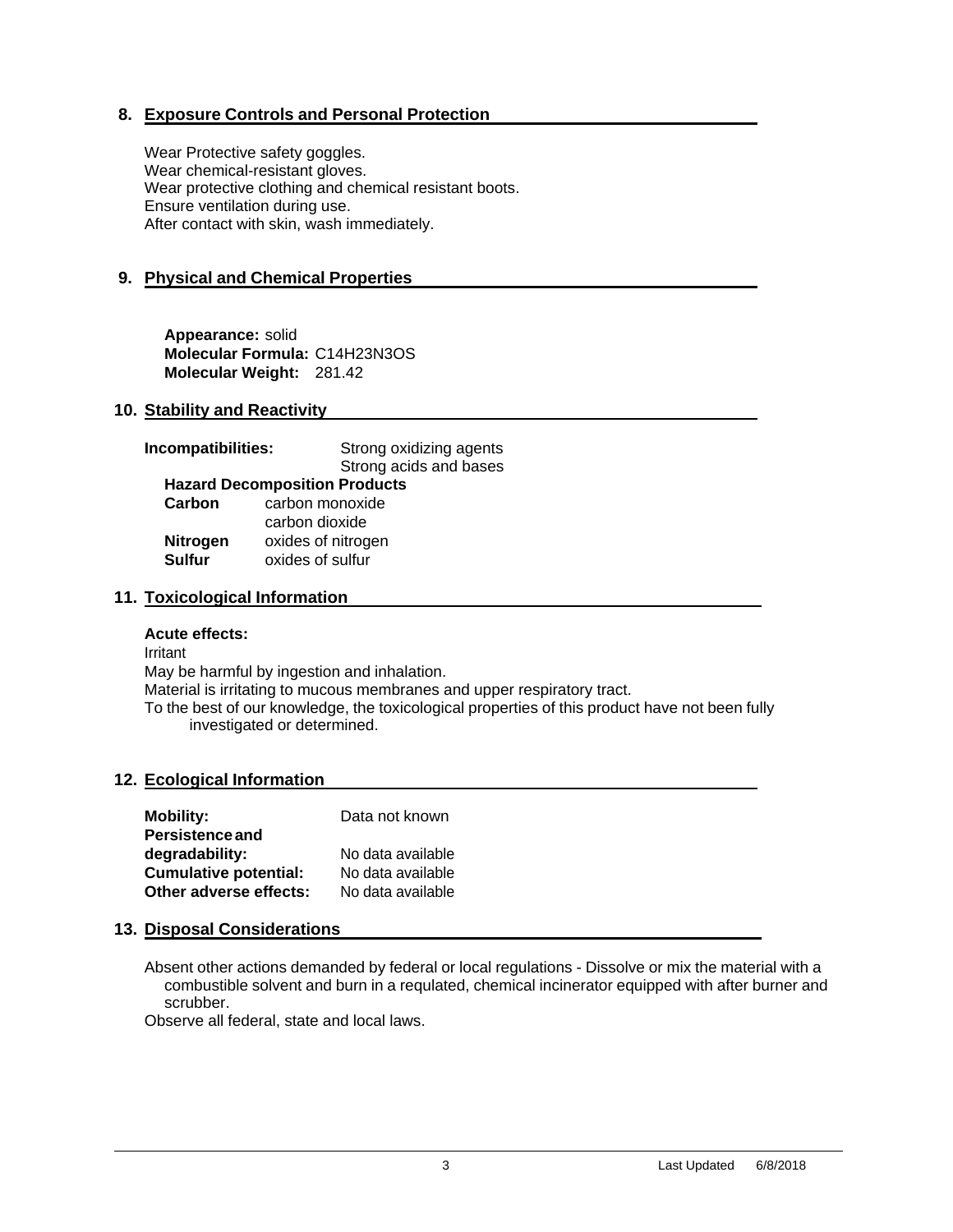# **8. Exposure Controls and Personal Protection**

Wear Protective safety goggles. Wear chemical-resistant gloves. Wear protective clothing and chemical resistant boots. Ensure ventilation during use. After contact with skin, wash immediately.

# **9. Physical and Chemical Properties**

**Appearance:** solid **Molecular Formula:** C14H23N3OS **Molecular Weight:** 281.42

### **10. Stability and Reactivity**

| Incompatibilities: | Strong oxidizing agents              |  |
|--------------------|--------------------------------------|--|
|                    | Strong acids and bases               |  |
|                    | <b>Hazard Decomposition Products</b> |  |
| Carbon             | carbon monoxide                      |  |
|                    | carbon dioxide                       |  |
| <b>Nitrogen</b>    | oxides of nitrogen                   |  |
| <b>Sulfur</b>      | oxides of sulfur                     |  |
|                    |                                      |  |

### **11. Toxicological Information**

#### **Acute effects:**

Irritant May be harmful by ingestion and inhalation. Material is irritating to mucous membranes and upper respiratory tract. To the best of our knowledge, the toxicological properties of this product have not been fully investigated or determined.

#### **12. Ecological Information**

| <b>Mobility:</b>             | Data not known    |
|------------------------------|-------------------|
| <b>Persistence and</b>       |                   |
| degradability:               | No data available |
| <b>Cumulative potential:</b> | No data available |
| Other adverse effects:       | No data available |

#### **13. Disposal Considerations**

Absent other actions demanded by federal or local regulations - Dissolve or mix the material with a combustible solvent and burn in a requlated, chemical incinerator equipped with after burner and scrubber.

Observe all federal, state and local laws.